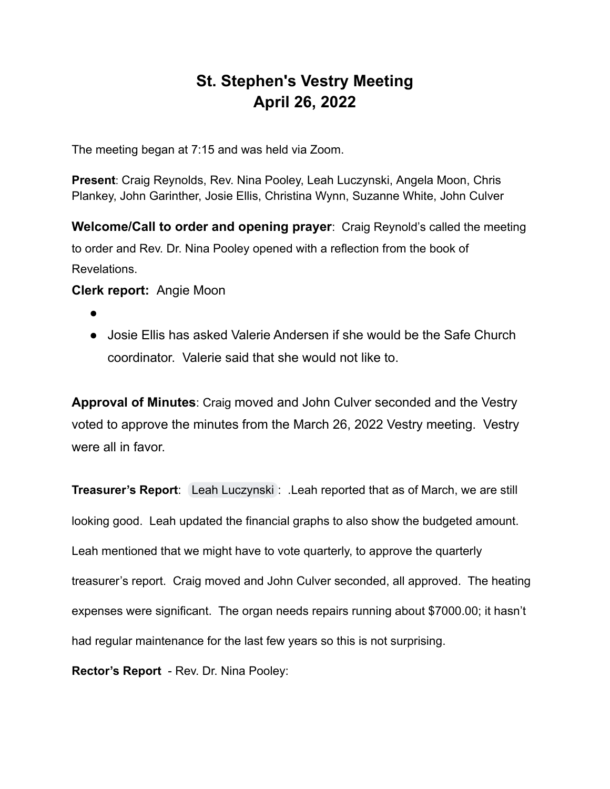## **St. Stephen's Vestry Meeting April 26, 2022**

The meeting began at 7:15 and was held via Zoom.

**Present**: Craig Reynolds, Rev. Nina Pooley, Leah Luczynski, Angela Moon, Chris Plankey, John Garinther, Josie Ellis, Christina Wynn, Suzanne White, John Culver

**Welcome/Call to order and opening prayer**: Craig Reynold's called the meeting to order and Rev. Dr. Nina Pooley opened with a reflection from the book of Revelations.

## **Clerk report:** Angie Moon

- ●
- Josie Ellis has asked Valerie Andersen if she would be the Safe Church coordinator. Valerie said that she would not like to.

**Approval of Minutes**: Craig moved and John Culver seconded and the Vestry voted to approve the minutes from the March 26, 2022 Vestry meeting. Vestry were all in favor.

**Treasurer's Report**: [Leah Luczynski](mailto:leah@leahinteriors.com) : .Leah reported that as of March, we are still looking good. Leah updated the financial graphs to also show the budgeted amount. Leah mentioned that we might have to vote quarterly, to approve the quarterly treasurer's report. Craig moved and John Culver seconded, all approved. The heating expenses were significant. The organ needs repairs running about \$7000.00; it hasn't had regular maintenance for the last few years so this is not surprising.

**Rector's Report** - Rev. Dr. Nina Pooley: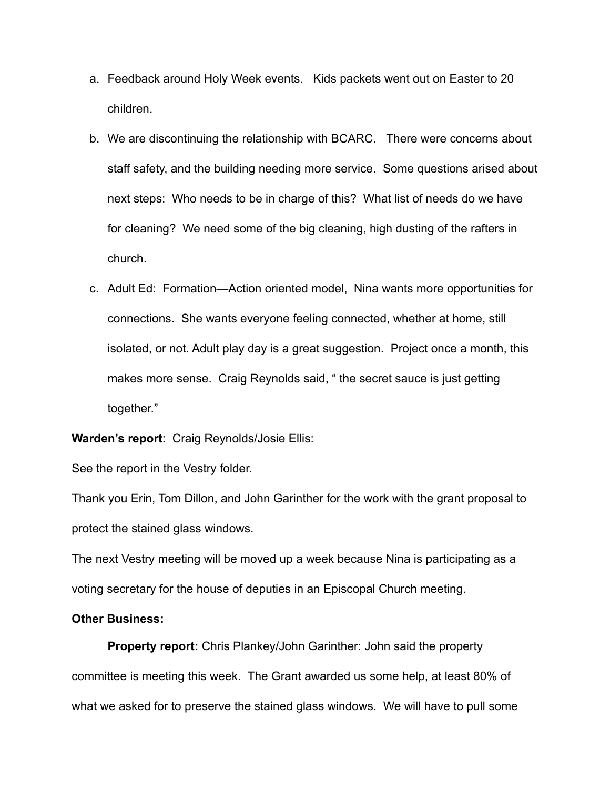- a. Feedback around Holy Week events. Kids packets went out on Easter to 20 children.
- b. We are discontinuing the relationship with BCARC. There were concerns about staff safety, and the building needing more service. Some questions arised about next steps: Who needs to be in charge of this? What list of needs do we have for cleaning? We need some of the big cleaning, high dusting of the rafters in church.
- c. Adult Ed: Formation—Action oriented model, Nina wants more opportunities for connections. She wants everyone feeling connected, whether at home, still isolated, or not. Adult play day is a great suggestion. Project once a month, this makes more sense. Craig Reynolds said, " the secret sauce is just getting together."

**Warden's report**: Craig Reynolds/Josie Ellis:

See the report in the Vestry folder.

Thank you Erin, Tom Dillon, and John Garinther for the work with the grant proposal to protect the stained glass windows.

The next Vestry meeting will be moved up a week because Nina is participating as a voting secretary for the house of deputies in an Episcopal Church meeting.

## **Other Business:**

**Property report:** Chris Plankey/John Garinther: John said the property committee is meeting this week. The Grant awarded us some help, at least 80% of what we asked for to preserve the stained glass windows. We will have to pull some